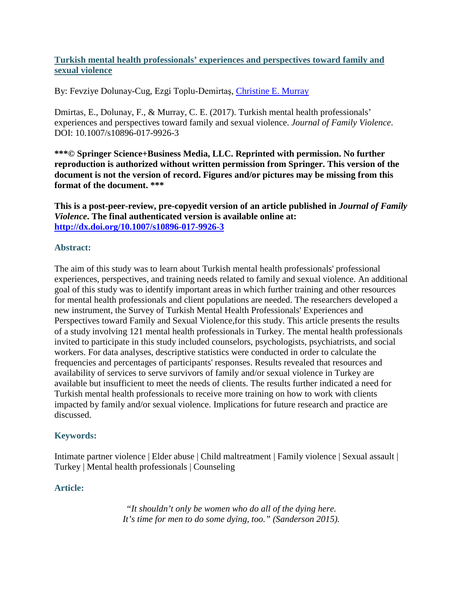# **Turkish mental health professionals' experiences and perspectives toward family and sexual violence**

By: Fevziye Dolunay-Cug, Ezgi Toplu-Demirtaş, [Christine E. Murray](https://libres.uncg.edu/ir/uncg/clist.aspx?id=894)

Dmirtas, E., Dolunay, F., & Murray, C. E. (2017). Turkish mental health professionals' experiences and perspectives toward family and sexual violence. *Journal of Family Violence*. DOI: 10.1007/s10896-017-9926-3

**\*\*\*© Springer Science+Business Media, LLC. Reprinted with permission. No further reproduction is authorized without written permission from Springer. This version of the document is not the version of record. Figures and/or pictures may be missing from this format of the document. \*\*\***

**This is a post-peer-review, pre-copyedit version of an article published in** *Journal of Family Violence***. The final authenticated version is available online at: <http://dx.doi.org/10.1007/s10896-017-9926-3>**

## **Abstract:**

The aim of this study was to learn about Turkish mental health professionals' professional experiences, perspectives, and training needs related to family and sexual violence. An additional goal of this study was to identify important areas in which further training and other resources for mental health professionals and client populations are needed. The researchers developed a new instrument, the Survey of Turkish Mental Health Professionals' Experiences and Perspectives toward Family and Sexual Violence,for this study. This article presents the results of a study involving 121 mental health professionals in Turkey. The mental health professionals invited to participate in this study included counselors, psychologists, psychiatrists, and social workers. For data analyses, descriptive statistics were conducted in order to calculate the frequencies and percentages of participants' responses. Results revealed that resources and availability of services to serve survivors of family and/or sexual violence in Turkey are available but insufficient to meet the needs of clients. The results further indicated a need for Turkish mental health professionals to receive more training on how to work with clients impacted by family and/or sexual violence. Implications for future research and practice are discussed.

### **Keywords:**

Intimate partner violence | Elder abuse | Child maltreatment | Family violence | Sexual assault | Turkey | Mental health professionals | Counseling

### **Article:**

*"It shouldn't only be women who do all of the dying here. It's time for men to do some dying, too." (Sanderson 2015).*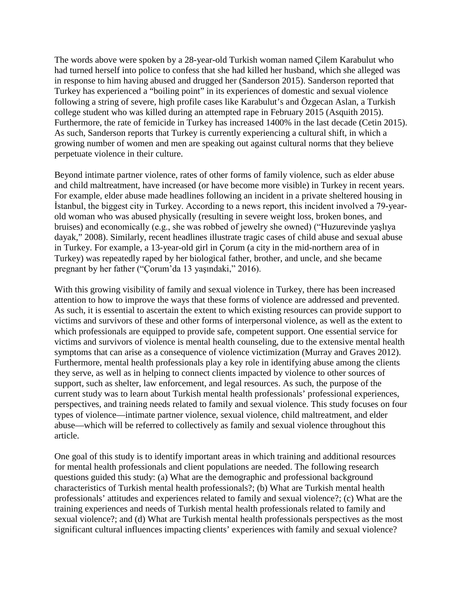The words above were spoken by a 28-year-old Turkish woman named Çilem Karabulut who had turned herself into police to confess that she had killed her husband, which she alleged was in response to him having abused and drugged her (Sanderson 2015). Sanderson reported that Turkey has experienced a "boiling point" in its experiences of domestic and sexual violence following a string of severe, high profile cases like Karabulut's and Özgecan Aslan, a Turkish college student who was killed during an attempted rape in February 2015 (Asquith 2015). Furthermore, the rate of femicide in Turkey has increased 1400% in the last decade (Cetin 2015). As such, Sanderson reports that Turkey is currently experiencing a cultural shift, in which a growing number of women and men are speaking out against cultural norms that they believe perpetuate violence in their culture.

Beyond intimate partner violence, rates of other forms of family violence, such as elder abuse and child maltreatment, have increased (or have become more visible) in Turkey in recent years. For example, elder abuse made headlines following an incident in a private sheltered housing in İstanbul, the biggest city in Turkey. According to a news report, this incident involved a 79-yearold woman who was abused physically (resulting in severe weight loss, broken bones, and bruises) and economically (e.g., she was robbed of jewelry she owned) ("Huzurevinde yaşlıya dayak," 2008). Similarly, recent headlines illustrate tragic cases of child abuse and sexual abuse in Turkey. For example, a 13-year-old girl in Çorum (a city in the mid-northern area of in Turkey) was repeatedly raped by her biological father, brother, and uncle, and she became pregnant by her father ("Çorum'da 13 yaşındaki," 2016).

With this growing visibility of family and sexual violence in Turkey, there has been increased attention to how to improve the ways that these forms of violence are addressed and prevented. As such, it is essential to ascertain the extent to which existing resources can provide support to victims and survivors of these and other forms of interpersonal violence, as well as the extent to which professionals are equipped to provide safe, competent support. One essential service for victims and survivors of violence is mental health counseling, due to the extensive mental health symptoms that can arise as a consequence of violence victimization (Murray and Graves 2012). Furthermore, mental health professionals play a key role in identifying abuse among the clients they serve, as well as in helping to connect clients impacted by violence to other sources of support, such as shelter, law enforcement, and legal resources. As such, the purpose of the current study was to learn about Turkish mental health professionals' professional experiences, perspectives, and training needs related to family and sexual violence. This study focuses on four types of violence—intimate partner violence, sexual violence, child maltreatment, and elder abuse—which will be referred to collectively as family and sexual violence throughout this article.

One goal of this study is to identify important areas in which training and additional resources for mental health professionals and client populations are needed. The following research questions guided this study: (a) What are the demographic and professional background characteristics of Turkish mental health professionals?; (b) What are Turkish mental health professionals' attitudes and experiences related to family and sexual violence?; (c) What are the training experiences and needs of Turkish mental health professionals related to family and sexual violence?; and (d) What are Turkish mental health professionals perspectives as the most significant cultural influences impacting clients' experiences with family and sexual violence?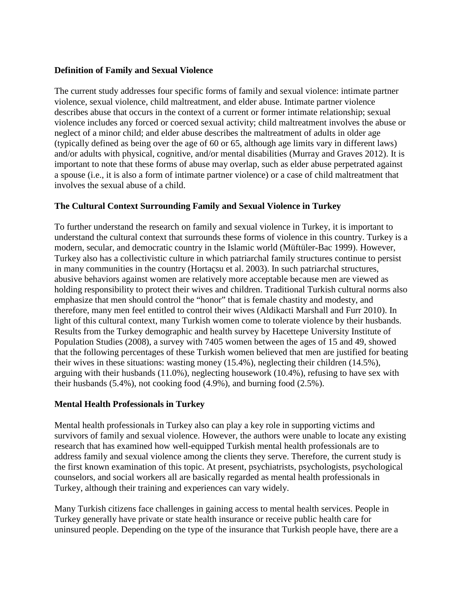## **Definition of Family and Sexual Violence**

The current study addresses four specific forms of family and sexual violence: intimate partner violence, sexual violence, child maltreatment, and elder abuse. Intimate partner violence describes abuse that occurs in the context of a current or former intimate relationship; sexual violence includes any forced or coerced sexual activity; child maltreatment involves the abuse or neglect of a minor child; and elder abuse describes the maltreatment of adults in older age (typically defined as being over the age of 60 or 65, although age limits vary in different laws) and/or adults with physical, cognitive, and/or mental disabilities (Murray and Graves 2012). It is important to note that these forms of abuse may overlap, such as elder abuse perpetrated against a spouse (i.e., it is also a form of intimate partner violence) or a case of child maltreatment that involves the sexual abuse of a child.

# **The Cultural Context Surrounding Family and Sexual Violence in Turkey**

To further understand the research on family and sexual violence in Turkey, it is important to understand the cultural context that surrounds these forms of violence in this country. Turkey is a modern, secular, and democratic country in the Islamic world (Müftüler-Bac 1999). However, Turkey also has a collectivistic culture in which patriarchal family structures continue to persist in many communities in the country (Hortaçsu et al. 2003). In such patriarchal structures, abusive behaviors against women are relatively more acceptable because men are viewed as holding responsibility to protect their wives and children. Traditional Turkish cultural norms also emphasize that men should control the "honor" that is female chastity and modesty, and therefore, many men feel entitled to control their wives (Aldikacti Marshall and Furr 2010). In light of this cultural context, many Turkish women come to tolerate violence by their husbands. Results from the Turkey demographic and health survey by Hacettepe University Institute of Population Studies (2008), a survey with 7405 women between the ages of 15 and 49, showed that the following percentages of these Turkish women believed that men are justified for beating their wives in these situations: wasting money (15.4%), neglecting their children (14.5%), arguing with their husbands (11.0%), neglecting housework (10.4%), refusing to have sex with their husbands (5.4%), not cooking food (4.9%), and burning food (2.5%).

# **Mental Health Professionals in Turkey**

Mental health professionals in Turkey also can play a key role in supporting victims and survivors of family and sexual violence. However, the authors were unable to locate any existing research that has examined how well-equipped Turkish mental health professionals are to address family and sexual violence among the clients they serve. Therefore, the current study is the first known examination of this topic. At present, psychiatrists, psychologists, psychological counselors, and social workers all are basically regarded as mental health professionals in Turkey, although their training and experiences can vary widely.

Many Turkish citizens face challenges in gaining access to mental health services. People in Turkey generally have private or state health insurance or receive public health care for uninsured people. Depending on the type of the insurance that Turkish people have, there are a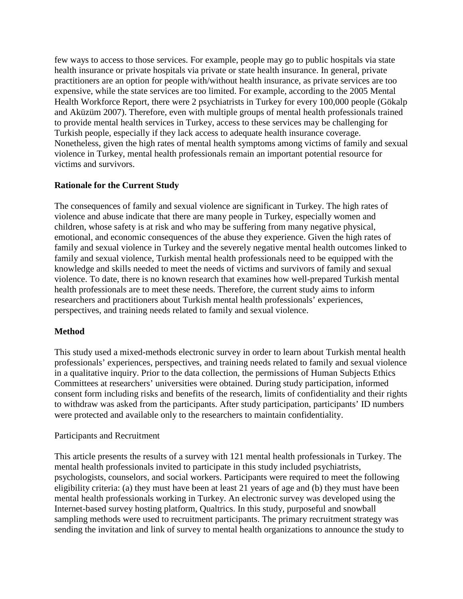few ways to access to those services. For example, people may go to public hospitals via state health insurance or private hospitals via private or state health insurance. In general, private practitioners are an option for people with/without health insurance, as private services are too expensive, while the state services are too limited. For example, according to the 2005 Mental Health Workforce Report, there were 2 psychiatrists in Turkey for every 100,000 people (Gökalp and Aküzüm 2007). Therefore, even with multiple groups of mental health professionals trained to provide mental health services in Turkey, access to these services may be challenging for Turkish people, especially if they lack access to adequate health insurance coverage. Nonetheless, given the high rates of mental health symptoms among victims of family and sexual violence in Turkey, mental health professionals remain an important potential resource for victims and survivors.

# **Rationale for the Current Study**

The consequences of family and sexual violence are significant in Turkey. The high rates of violence and abuse indicate that there are many people in Turkey, especially women and children, whose safety is at risk and who may be suffering from many negative physical, emotional, and economic consequences of the abuse they experience. Given the high rates of family and sexual violence in Turkey and the severely negative mental health outcomes linked to family and sexual violence, Turkish mental health professionals need to be equipped with the knowledge and skills needed to meet the needs of victims and survivors of family and sexual violence. To date, there is no known research that examines how well-prepared Turkish mental health professionals are to meet these needs. Therefore, the current study aims to inform researchers and practitioners about Turkish mental health professionals' experiences, perspectives, and training needs related to family and sexual violence.

# **Method**

This study used a mixed-methods electronic survey in order to learn about Turkish mental health professionals' experiences, perspectives, and training needs related to family and sexual violence in a qualitative inquiry. Prior to the data collection, the permissions of Human Subjects Ethics Committees at researchers' universities were obtained. During study participation, informed consent form including risks and benefits of the research, limits of confidentiality and their rights to withdraw was asked from the participants. After study participation, participants' ID numbers were protected and available only to the researchers to maintain confidentiality.

# Participants and Recruitment

This article presents the results of a survey with 121 mental health professionals in Turkey. The mental health professionals invited to participate in this study included psychiatrists, psychologists, counselors, and social workers. Participants were required to meet the following eligibility criteria: (a) they must have been at least 21 years of age and (b) they must have been mental health professionals working in Turkey. An electronic survey was developed using the Internet-based survey hosting platform, Qualtrics. In this study, purposeful and snowball sampling methods were used to recruitment participants. The primary recruitment strategy was sending the invitation and link of survey to mental health organizations to announce the study to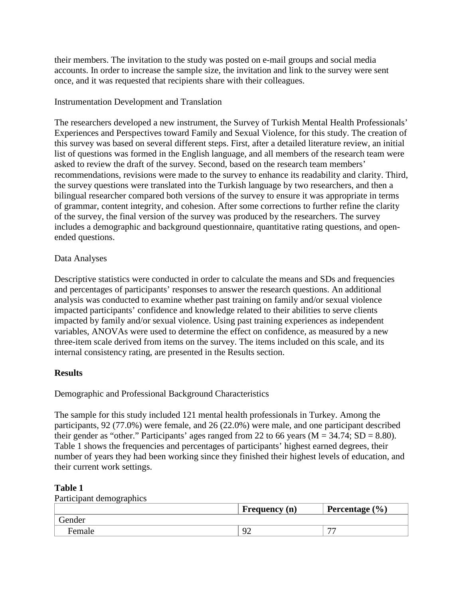their members. The invitation to the study was posted on e-mail groups and social media accounts. In order to increase the sample size, the invitation and link to the survey were sent once, and it was requested that recipients share with their colleagues.

## Instrumentation Development and Translation

The researchers developed a new instrument, the Survey of Turkish Mental Health Professionals' Experiences and Perspectives toward Family and Sexual Violence, for this study. The creation of this survey was based on several different steps. First, after a detailed literature review, an initial list of questions was formed in the English language, and all members of the research team were asked to review the draft of the survey. Second, based on the research team members' recommendations, revisions were made to the survey to enhance its readability and clarity. Third, the survey questions were translated into the Turkish language by two researchers, and then a bilingual researcher compared both versions of the survey to ensure it was appropriate in terms of grammar, content integrity, and cohesion. After some corrections to further refine the clarity of the survey, the final version of the survey was produced by the researchers. The survey includes a demographic and background questionnaire, quantitative rating questions, and openended questions.

## Data Analyses

Descriptive statistics were conducted in order to calculate the means and SDs and frequencies and percentages of participants' responses to answer the research questions. An additional analysis was conducted to examine whether past training on family and/or sexual violence impacted participants' confidence and knowledge related to their abilities to serve clients impacted by family and/or sexual violence. Using past training experiences as independent variables, ANOVAs were used to determine the effect on confidence, as measured by a new three-item scale derived from items on the survey. The items included on this scale, and its internal consistency rating, are presented in the Results section.

### **Results**

Demographic and Professional Background Characteristics

The sample for this study included 121 mental health professionals in Turkey. Among the participants, 92 (77.0%) were female, and 26 (22.0%) were male, and one participant described their gender as "other." Participants' ages ranged from 22 to 66 years ( $M = 34.74$ ; SD = 8.80). Table 1 shows the frequencies and percentages of participants' highest earned degrees, their number of years they had been working since they finished their highest levels of education, and their current work settings.

### **Table 1**

Participant demographics

|        | Frequency (n) | Percentage $(\% )$ |
|--------|---------------|--------------------|
| Jender |               |                    |
| Female | $\Omega$<br>  | $\overline{a}$     |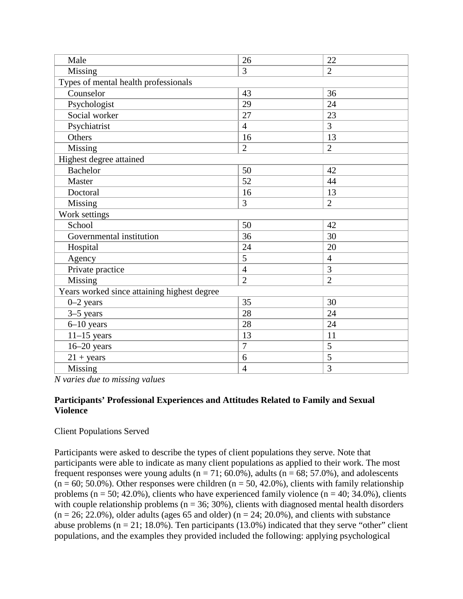| Male                                        | 26             | 22             |
|---------------------------------------------|----------------|----------------|
| Missing                                     | 3              | $\overline{2}$ |
| Types of mental health professionals        |                |                |
| Counselor                                   | 43             | 36             |
| Psychologist                                | 29             | 24             |
| Social worker                               | 27             | 23             |
| Psychiatrist                                | $\overline{4}$ | 3              |
| Others                                      | 16             | 13             |
| Missing                                     | $\overline{2}$ | $\overline{2}$ |
| Highest degree attained                     |                |                |
| <b>Bachelor</b>                             | 50             | 42             |
| Master                                      | 52             | 44             |
| Doctoral                                    | 16             | 13             |
| Missing                                     | 3              | $\overline{2}$ |
| Work settings                               |                |                |
| School                                      | 50             | 42             |
| Governmental institution                    | 36             | 30             |
| Hospital                                    | 24             | 20             |
| Agency                                      | 5              | $\overline{4}$ |
| Private practice                            | $\overline{4}$ | 3              |
| Missing                                     | $\overline{2}$ | $\overline{2}$ |
| Years worked since attaining highest degree |                |                |
| $0 - 2$ years                               | 35             | 30             |
| $3-5$ years                                 | 28             | 24             |
| $6 - 10$ years                              | 28             | 24             |
| $11-15$ years                               | 13             | 11             |
| $16 - 20$ years                             | $\overline{7}$ | 5              |
| $21 + \text{years}$                         | 6              | 5              |
| Missing                                     | $\overline{4}$ | $\overline{3}$ |

*N varies due to missing values*

## **Participants' Professional Experiences and Attitudes Related to Family and Sexual Violence**

# Client Populations Served

Participants were asked to describe the types of client populations they serve. Note that participants were able to indicate as many client populations as applied to their work. The most frequent responses were young adults ( $n = 71$ ; 60.0%), adults ( $n = 68$ ; 57.0%), and adolescents  $(n = 60; 50.0\%)$ . Other responses were children  $(n = 50, 42.0\%)$ , clients with family relationship problems ( $n = 50$ ; 42.0%), clients who have experienced family violence ( $n = 40$ ; 34.0%), clients with couple relationship problems ( $n = 36$ ; 30%), clients with diagnosed mental health disorders  $(n = 26; 22.0\%)$ , older adults (ages 65 and older)  $(n = 24; 20.0\%)$ , and clients with substance abuse problems  $(n = 21; 18.0\%)$ . Ten participants (13.0%) indicated that they serve "other" client populations, and the examples they provided included the following: applying psychological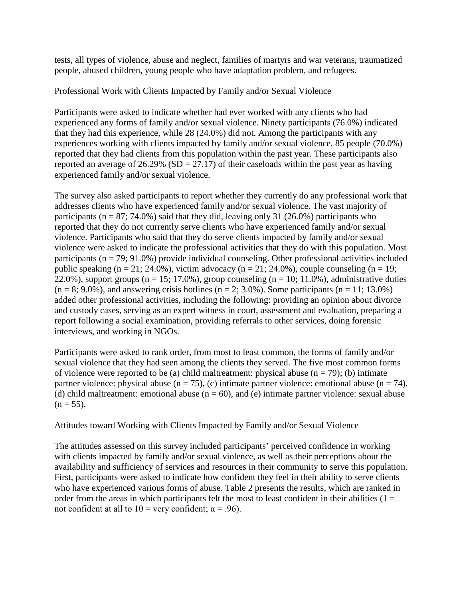tests, all types of violence, abuse and neglect, families of martyrs and war veterans, traumatized people, abused children, young people who have adaptation problem, and refugees.

Professional Work with Clients Impacted by Family and/or Sexual Violence

Participants were asked to indicate whether had ever worked with any clients who had experienced any forms of family and/or sexual violence. Ninety participants (76.0%) indicated that they had this experience, while 28 (24.0%) did not. Among the participants with any experiences working with clients impacted by family and/or sexual violence, 85 people (70.0%) reported that they had clients from this population within the past year. These participants also reported an average of  $26.29\%$  (SD = 27.17) of their caseloads within the past year as having experienced family and/or sexual violence.

The survey also asked participants to report whether they currently do any professional work that addresses clients who have experienced family and/or sexual violence. The vast majority of participants ( $n = 87$ ; 74.0%) said that they did, leaving only 31 (26.0%) participants who reported that they do not currently serve clients who have experienced family and/or sexual violence. Participants who said that they do serve clients impacted by family and/or sexual violence were asked to indicate the professional activities that they do with this population. Most participants ( $n = 79$ ; 91.0%) provide individual counseling. Other professional activities included public speaking (n = 21; 24.0%), victim advocacy (n = 21; 24.0%), couple counseling (n = 19; 22.0%), support groups ( $n = 15$ ; 17.0%), group counseling ( $n = 10$ ; 11.0%), administrative duties  $(n = 8; 9.0\%)$ , and answering crisis hotlines  $(n = 2; 3.0\%)$ . Some participants  $(n = 11; 13.0\%)$ added other professional activities, including the following: providing an opinion about divorce and custody cases, serving as an expert witness in court, assessment and evaluation, preparing a report following a social examination, providing referrals to other services, doing forensic interviews, and working in NGOs.

Participants were asked to rank order, from most to least common, the forms of family and/or sexual violence that they had seen among the clients they served. The five most common forms of violence were reported to be (a) child maltreatment: physical abuse  $(n = 79)$ ; (b) intimate partner violence: physical abuse (n = 75), (c) intimate partner violence: emotional abuse (n = 74), (d) child maltreatment: emotional abuse  $(n = 60)$ , and (e) intimate partner violence: sexual abuse  $(n = 55)$ .

Attitudes toward Working with Clients Impacted by Family and/or Sexual Violence

The attitudes assessed on this survey included participants' perceived confidence in working with clients impacted by family and/or sexual violence, as well as their perceptions about the availability and sufficiency of services and resources in their community to serve this population. First, participants were asked to indicate how confident they feel in their ability to serve clients who have experienced various forms of abuse. Table 2 presents the results, which are ranked in order from the areas in which participants felt the most to least confident in their abilities  $(1 =$ not confident at all to  $10 =$  very confident;  $\alpha = .96$ ).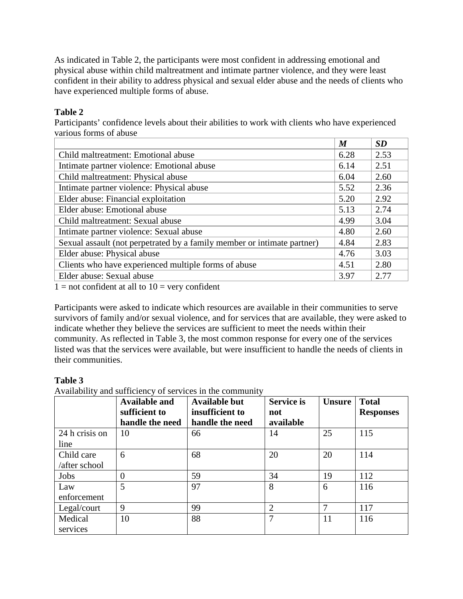As indicated in Table 2, the participants were most confident in addressing emotional and physical abuse within child maltreatment and intimate partner violence, and they were least confident in their ability to address physical and sexual elder abuse and the needs of clients who have experienced multiple forms of abuse.

# **Table 2**

Participants' confidence levels about their abilities to work with clients who have experienced various forms of abuse

|                                                                         | $\boldsymbol{M}$ | <b>SD</b> |
|-------------------------------------------------------------------------|------------------|-----------|
| Child maltreatment: Emotional abuse                                     | 6.28             | 2.53      |
| Intimate partner violence: Emotional abuse                              | 6.14             | 2.51      |
| Child maltreatment: Physical abuse                                      | 6.04             | 2.60      |
| Intimate partner violence: Physical abuse                               | 5.52             | 2.36      |
| Elder abuse: Financial exploitation                                     | 5.20             | 2.92      |
| Elder abuse: Emotional abuse                                            | 5.13             | 2.74      |
| Child maltreatment: Sexual abuse                                        | 4.99             | 3.04      |
| Intimate partner violence: Sexual abuse                                 | 4.80             | 2.60      |
| Sexual assault (not perpetrated by a family member or intimate partner) | 4.84             | 2.83      |
| Elder abuse: Physical abuse                                             | 4.76             | 3.03      |
| Clients who have experienced multiple forms of abuse                    | 4.51             | 2.80      |
| Elder abuse: Sexual abuse                                               | 3.97             | 2.77      |

 $1 =$  not confident at all to  $10 =$  very confident

Participants were asked to indicate which resources are available in their communities to serve survivors of family and/or sexual violence, and for services that are available, they were asked to indicate whether they believe the services are sufficient to meet the needs within their community. As reflected in Table 3, the most common response for every one of the services listed was that the services were available, but were insufficient to handle the needs of clients in their communities.

# **Table 3**

Availability and sufficiency of services in the community

|                | <b>Available and</b><br>sufficient to | <b>Available but</b><br>insufficient to | <b>Service is</b><br>not | <b>Unsure</b> | <b>Total</b><br><b>Responses</b> |
|----------------|---------------------------------------|-----------------------------------------|--------------------------|---------------|----------------------------------|
|                | handle the need                       | handle the need                         | available                |               |                                  |
| 24 h crisis on | 10                                    | 66                                      | 14                       | 25            | 115                              |
| line           |                                       |                                         |                          |               |                                  |
| Child care     | 6                                     | 68                                      | 20                       | 20            | 114                              |
| /after school  |                                       |                                         |                          |               |                                  |
| Jobs           | $\theta$                              | 59                                      | 34                       | 19            | 112                              |
| Law            | 5                                     | 97                                      | 8                        | 6             | 116                              |
| enforcement    |                                       |                                         |                          |               |                                  |
| Legal/court    | 9                                     | 99                                      | $\overline{2}$           | 7             | 117                              |
| Medical        | 10                                    | 88                                      | 7                        | 11            | 116                              |
| services       |                                       |                                         |                          |               |                                  |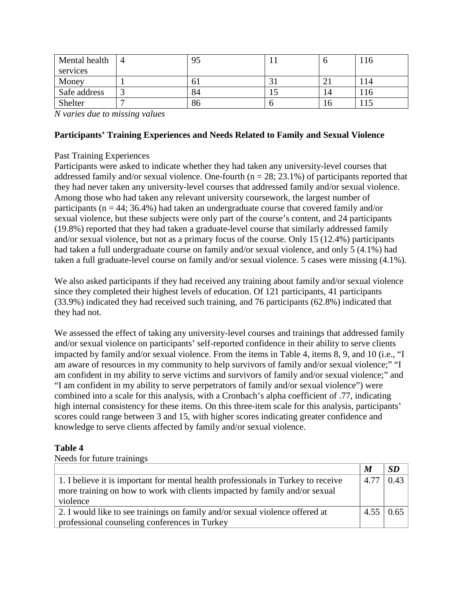| Mental health | $\overline{4}$ | 95  |     |     | -10 |
|---------------|----------------|-----|-----|-----|-----|
| services      |                |     |     |     |     |
| Money         |                | U I | ر ر | ∠⊥  |     |
| Safe address  |                | 84  | 1 J | ۱4  | -10 |
| Shelter       |                | 86  |     | l 6 |     |

*N varies due to missing values*

### **Participants' Training Experiences and Needs Related to Family and Sexual Violence**

## Past Training Experiences

Participants were asked to indicate whether they had taken any university-level courses that addressed family and/or sexual violence. One-fourth ( $n = 28$ ; 23.1%) of participants reported that they had never taken any university-level courses that addressed family and/or sexual violence. Among those who had taken any relevant university coursework, the largest number of participants ( $n = 44$ ; 36.4%) had taken an undergraduate course that covered family and/or sexual violence, but these subjects were only part of the course's content, and 24 participants (19.8%) reported that they had taken a graduate-level course that similarly addressed family and/or sexual violence, but not as a primary focus of the course. Only 15 (12.4%) participants had taken a full undergraduate course on family and/or sexual violence, and only 5 (4.1%) had taken a full graduate-level course on family and/or sexual violence. 5 cases were missing (4.1%).

We also asked participants if they had received any training about family and/or sexual violence since they completed their highest levels of education. Of 121 participants, 41 participants (33.9%) indicated they had received such training, and 76 participants (62.8%) indicated that they had not.

We assessed the effect of taking any university-level courses and trainings that addressed family and/or sexual violence on participants' self-reported confidence in their ability to serve clients impacted by family and/or sexual violence. From the items in Table 4, items 8, 9, and 10 (i.e., "I am aware of resources in my community to help survivors of family and/or sexual violence;" "I am confident in my ability to serve victims and survivors of family and/or sexual violence;" and "I am confident in my ability to serve perpetrators of family and/or sexual violence") were combined into a scale for this analysis, with a Cronbach's alpha coefficient of .77, indicating high internal consistency for these items. On this three-item scale for this analysis, participants' scores could range between 3 and 15, with higher scores indicating greater confidence and knowledge to serve clients affected by family and/or sexual violence.

# **Table 4**

|  |  |  | Needs for future trainings |
|--|--|--|----------------------------|
|--|--|--|----------------------------|

|                                                                                   | $\boldsymbol{M}$ |      |
|-----------------------------------------------------------------------------------|------------------|------|
| 1. I believe it is important for mental health professionals in Turkey to receive | 4.77             | 0.43 |
| more training on how to work with clients impacted by family and/or sexual        |                  |      |
| violence                                                                          |                  |      |
| 2. I would like to see trainings on family and/or sexual violence offered at      | 4.55             | 0.65 |
| professional counseling conferences in Turkey                                     |                  |      |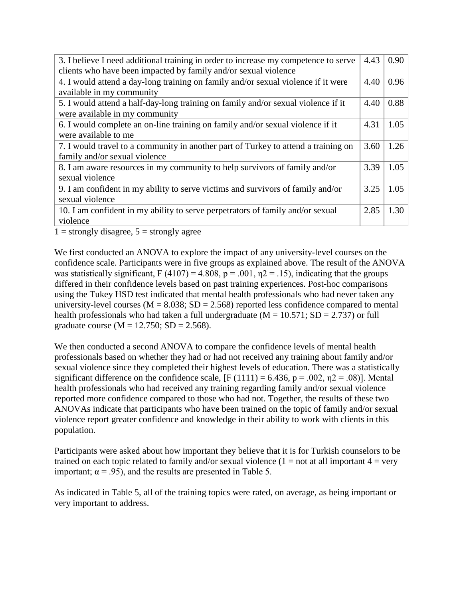| 3. I believe I need additional training in order to increase my competence to serve | 4.43 | 0.90 |
|-------------------------------------------------------------------------------------|------|------|
| clients who have been impacted by family and/or sexual violence                     |      |      |
| 4. I would attend a day-long training on family and/or sexual violence if it were   | 4.40 | 0.96 |
| available in my community                                                           |      |      |
| 5. I would attend a half-day-long training on family and/or sexual violence if it   | 4.40 | 0.88 |
| were available in my community                                                      |      |      |
| 6. I would complete an on-line training on family and/or sexual violence if it      | 4.31 | 1.05 |
| were available to me                                                                |      |      |
| 7. I would travel to a community in another part of Turkey to attend a training on  | 3.60 | 1.26 |
| family and/or sexual violence                                                       |      |      |
| 8. I am aware resources in my community to help survivors of family and/or          | 3.39 | 1.05 |
| sexual violence                                                                     |      |      |
| 9. I am confident in my ability to serve victims and survivors of family and/or     | 3.25 | 1.05 |
| sexual violence                                                                     |      |      |
| 10. I am confident in my ability to serve perpetrators of family and/or sexual      | 2.85 | 1.30 |
| violence                                                                            |      |      |

 $1 =$  strongly disagree,  $5 =$  strongly agree

We first conducted an ANOVA to explore the impact of any university-level courses on the confidence scale. Participants were in five groups as explained above. The result of the ANOVA was statistically significant, F (4107) = 4.808,  $p = .001$ ,  $n = 15$ ), indicating that the groups differed in their confidence levels based on past training experiences. Post-hoc comparisons using the Tukey HSD test indicated that mental health professionals who had never taken any university-level courses ( $M = 8.038$ ; SD = 2.568) reported less confidence compared to mental health professionals who had taken a full undergraduate ( $M = 10.571$ ; SD = 2.737) or full graduate course ( $M = 12.750$ ;  $SD = 2.568$ ).

We then conducted a second ANOVA to compare the confidence levels of mental health professionals based on whether they had or had not received any training about family and/or sexual violence since they completed their highest levels of education. There was a statistically significant difference on the confidence scale,  $[F(1111) = 6.436, p = .002, \eta2 = .08]$ . Mental health professionals who had received any training regarding family and/or sexual violence reported more confidence compared to those who had not. Together, the results of these two ANOVAs indicate that participants who have been trained on the topic of family and/or sexual violence report greater confidence and knowledge in their ability to work with clients in this population.

Participants were asked about how important they believe that it is for Turkish counselors to be trained on each topic related to family and/or sexual violence  $(1 = not at all important 4 = very$ important;  $\alpha = .95$ ), and the results are presented in Table 5.

As indicated in Table 5, all of the training topics were rated, on average, as being important or very important to address.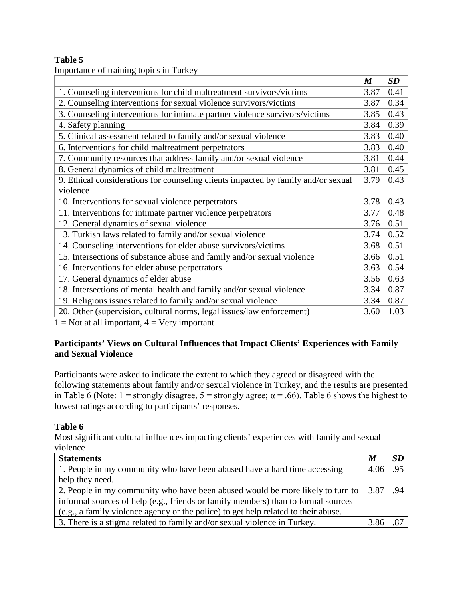# **Table 5**

Importance of training topics in Turkey

|                                                                                   | $\boldsymbol{M}$ | SD   |
|-----------------------------------------------------------------------------------|------------------|------|
| 1. Counseling interventions for child maltreatment survivors/victims              | 3.87             | 0.41 |
| 2. Counseling interventions for sexual violence survivors/victims                 | 3.87             | 0.34 |
| 3. Counseling interventions for intimate partner violence survivors/victims       | 3.85             | 0.43 |
| 4. Safety planning                                                                | 3.84             | 0.39 |
| 5. Clinical assessment related to family and/or sexual violence                   | 3.83             | 0.40 |
| 6. Interventions for child maltreatment perpetrators                              | 3.83             | 0.40 |
| 7. Community resources that address family and/or sexual violence                 | 3.81             | 0.44 |
| 8. General dynamics of child maltreatment                                         | 3.81             | 0.45 |
| 9. Ethical considerations for counseling clients impacted by family and/or sexual | 3.79             | 0.43 |
| violence                                                                          |                  |      |
| 10. Interventions for sexual violence perpetrators                                | 3.78             | 0.43 |
| 11. Interventions for intimate partner violence perpetrators                      | 3.77             | 0.48 |
| 12. General dynamics of sexual violence                                           | 3.76             | 0.51 |
| 13. Turkish laws related to family and/or sexual violence                         | 3.74             | 0.52 |
| 14. Counseling interventions for elder abuse survivors/victims                    | 3.68             | 0.51 |
| 15. Intersections of substance abuse and family and/or sexual violence            | 3.66             | 0.51 |
| 16. Interventions for elder abuse perpetrators                                    | 3.63             | 0.54 |
| 17. General dynamics of elder abuse                                               | 3.56             | 0.63 |
| 18. Intersections of mental health and family and/or sexual violence              | 3.34             | 0.87 |
| 19. Religious issues related to family and/or sexual violence                     | 3.34             | 0.87 |
| 20. Other (supervision, cultural norms, legal issues/law enforcement)             | 3.60             | 1.03 |

 $1 = Not$  at all important,  $4 = Very$  important

## **Participants' Views on Cultural Influences that Impact Clients' Experiences with Family and Sexual Violence**

Participants were asked to indicate the extent to which they agreed or disagreed with the following statements about family and/or sexual violence in Turkey, and the results are presented in Table 6 (Note:  $1 =$  strongly disagree,  $5 =$  strongly agree;  $\alpha = .66$ ). Table 6 shows the highest to lowest ratings according to participants' responses.

# **Table 6**

Most significant cultural influences impacting clients' experiences with family and sexual violence

| <b>Statements</b>                                                                  | $\boldsymbol{M}$ | <b>SD</b> |
|------------------------------------------------------------------------------------|------------------|-----------|
| 1. People in my community who have been abused have a hard time accessing          | $4.06$ .95       |           |
| help they need.                                                                    |                  |           |
| 2. People in my community who have been abused would be more likely to turn to     | 3.87             | - 94      |
| informal sources of help (e.g., friends or family members) than to formal sources  |                  |           |
| (e.g., a family violence agency or the police) to get help related to their abuse. |                  |           |
| 3. There is a stigma related to family and/or sexual violence in Turkey.           | 3.86             |           |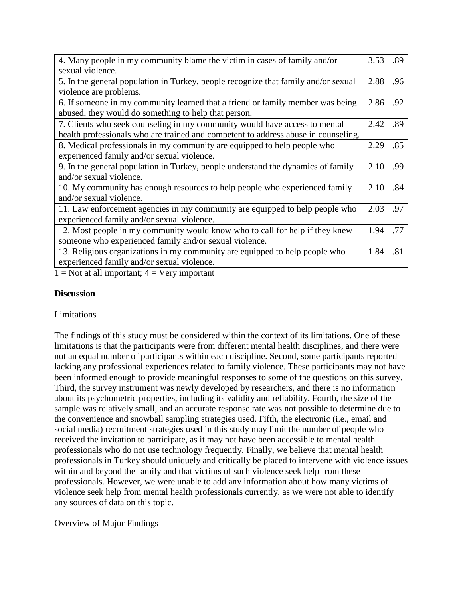| 4. Many people in my community blame the victim in cases of family and/or          | 3.53 | .89 |
|------------------------------------------------------------------------------------|------|-----|
| sexual violence.                                                                   |      |     |
| 5. In the general population in Turkey, people recognize that family and/or sexual | 2.88 | .96 |
| violence are problems.                                                             |      |     |
| 6. If someone in my community learned that a friend or family member was being     | 2.86 | .92 |
| abused, they would do something to help that person.                               |      |     |
| 7. Clients who seek counseling in my community would have access to mental         | 2.42 | .89 |
| health professionals who are trained and competent to address abuse in counseling. |      |     |
| 8. Medical professionals in my community are equipped to help people who           | 2.29 | .85 |
| experienced family and/or sexual violence.                                         |      |     |
| 9. In the general population in Turkey, people understand the dynamics of family   | 2.10 | .99 |
| and/or sexual violence.                                                            |      |     |
| 10. My community has enough resources to help people who experienced family        | 2.10 | .84 |
| and/or sexual violence.                                                            |      |     |
| 11. Law enforcement agencies in my community are equipped to help people who       | 2.03 | .97 |
| experienced family and/or sexual violence.                                         |      |     |
| 12. Most people in my community would know who to call for help if they knew       | 1.94 | .77 |
| someone who experienced family and/or sexual violence.                             |      |     |
| 13. Religious organizations in my community are equipped to help people who        | 1.84 | .81 |
| experienced family and/or sexual violence.                                         |      |     |
| $1 \times 1$<br>$\mathbf{X}$                                                       |      |     |

 $1 = Not$  at all important;  $4 = Very$  important

## **Discussion**

### Limitations

The findings of this study must be considered within the context of its limitations. One of these limitations is that the participants were from different mental health disciplines, and there were not an equal number of participants within each discipline. Second, some participants reported lacking any professional experiences related to family violence. These participants may not have been informed enough to provide meaningful responses to some of the questions on this survey. Third, the survey instrument was newly developed by researchers, and there is no information about its psychometric properties, including its validity and reliability. Fourth, the size of the sample was relatively small, and an accurate response rate was not possible to determine due to the convenience and snowball sampling strategies used. Fifth, the electronic (i.e., email and social media) recruitment strategies used in this study may limit the number of people who received the invitation to participate, as it may not have been accessible to mental health professionals who do not use technology frequently. Finally, we believe that mental health professionals in Turkey should uniquely and critically be placed to intervene with violence issues within and beyond the family and that victims of such violence seek help from these professionals. However, we were unable to add any information about how many victims of violence seek help from mental health professionals currently, as we were not able to identify any sources of data on this topic.

# Overview of Major Findings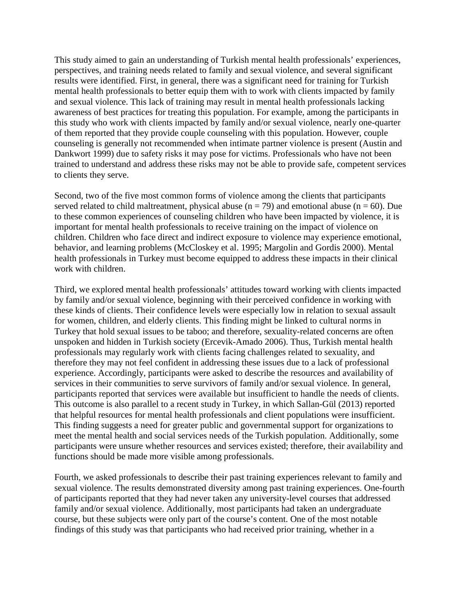This study aimed to gain an understanding of Turkish mental health professionals' experiences, perspectives, and training needs related to family and sexual violence, and several significant results were identified. First, in general, there was a significant need for training for Turkish mental health professionals to better equip them with to work with clients impacted by family and sexual violence. This lack of training may result in mental health professionals lacking awareness of best practices for treating this population. For example, among the participants in this study who work with clients impacted by family and/or sexual violence, nearly one-quarter of them reported that they provide couple counseling with this population. However, couple counseling is generally not recommended when intimate partner violence is present (Austin and Dankwort 1999) due to safety risks it may pose for victims. Professionals who have not been trained to understand and address these risks may not be able to provide safe, competent services to clients they serve.

Second, two of the five most common forms of violence among the clients that participants served related to child maltreatment, physical abuse ( $n = 79$ ) and emotional abuse ( $n = 60$ ). Due to these common experiences of counseling children who have been impacted by violence, it is important for mental health professionals to receive training on the impact of violence on children. Children who face direct and indirect exposure to violence may experience emotional, behavior, and learning problems (McCloskey et al. 1995; Margolin and Gordis 2000). Mental health professionals in Turkey must become equipped to address these impacts in their clinical work with children.

Third, we explored mental health professionals' attitudes toward working with clients impacted by family and/or sexual violence, beginning with their perceived confidence in working with these kinds of clients. Their confidence levels were especially low in relation to sexual assault for women, children, and elderly clients. This finding might be linked to cultural norms in Turkey that hold sexual issues to be taboo; and therefore, sexuality-related concerns are often unspoken and hidden in Turkish society (Ercevik-Amado 2006). Thus, Turkish mental health professionals may regularly work with clients facing challenges related to sexuality, and therefore they may not feel confident in addressing these issues due to a lack of professional experience. Accordingly, participants were asked to describe the resources and availability of services in their communities to serve survivors of family and/or sexual violence. In general, participants reported that services were available but insufficient to handle the needs of clients. This outcome is also parallel to a recent study in Turkey, in which Sallan-Gül (2013) reported that helpful resources for mental health professionals and client populations were insufficient. This finding suggests a need for greater public and governmental support for organizations to meet the mental health and social services needs of the Turkish population. Additionally, some participants were unsure whether resources and services existed; therefore, their availability and functions should be made more visible among professionals.

Fourth, we asked professionals to describe their past training experiences relevant to family and sexual violence. The results demonstrated diversity among past training experiences. One-fourth of participants reported that they had never taken any university-level courses that addressed family and/or sexual violence. Additionally, most participants had taken an undergraduate course, but these subjects were only part of the course's content. One of the most notable findings of this study was that participants who had received prior training, whether in a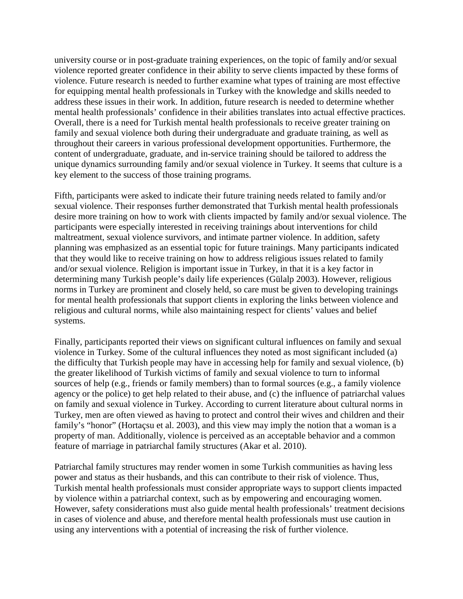university course or in post-graduate training experiences, on the topic of family and/or sexual violence reported greater confidence in their ability to serve clients impacted by these forms of violence. Future research is needed to further examine what types of training are most effective for equipping mental health professionals in Turkey with the knowledge and skills needed to address these issues in their work. In addition, future research is needed to determine whether mental health professionals' confidence in their abilities translates into actual effective practices. Overall, there is a need for Turkish mental health professionals to receive greater training on family and sexual violence both during their undergraduate and graduate training, as well as throughout their careers in various professional development opportunities. Furthermore, the content of undergraduate, graduate, and in-service training should be tailored to address the unique dynamics surrounding family and/or sexual violence in Turkey. It seems that culture is a key element to the success of those training programs.

Fifth, participants were asked to indicate their future training needs related to family and/or sexual violence. Their responses further demonstrated that Turkish mental health professionals desire more training on how to work with clients impacted by family and/or sexual violence. The participants were especially interested in receiving trainings about interventions for child maltreatment, sexual violence survivors, and intimate partner violence. In addition, safety planning was emphasized as an essential topic for future trainings. Many participants indicated that they would like to receive training on how to address religious issues related to family and/or sexual violence. Religion is important issue in Turkey, in that it is a key factor in determining many Turkish people's daily life experiences (Gülalp 2003). However, religious norms in Turkey are prominent and closely held, so care must be given to developing trainings for mental health professionals that support clients in exploring the links between violence and religious and cultural norms, while also maintaining respect for clients' values and belief systems.

Finally, participants reported their views on significant cultural influences on family and sexual violence in Turkey. Some of the cultural influences they noted as most significant included (a) the difficulty that Turkish people may have in accessing help for family and sexual violence, (b) the greater likelihood of Turkish victims of family and sexual violence to turn to informal sources of help (e.g., friends or family members) than to formal sources (e.g., a family violence agency or the police) to get help related to their abuse, and (c) the influence of patriarchal values on family and sexual violence in Turkey. According to current literature about cultural norms in Turkey, men are often viewed as having to protect and control their wives and children and their family's "honor" (Hortaçsu et al. 2003), and this view may imply the notion that a woman is a property of man. Additionally, violence is perceived as an acceptable behavior and a common feature of marriage in patriarchal family structures (Akar et al. 2010).

Patriarchal family structures may render women in some Turkish communities as having less power and status as their husbands, and this can contribute to their risk of violence. Thus, Turkish mental health professionals must consider appropriate ways to support clients impacted by violence within a patriarchal context, such as by empowering and encouraging women. However, safety considerations must also guide mental health professionals' treatment decisions in cases of violence and abuse, and therefore mental health professionals must use caution in using any interventions with a potential of increasing the risk of further violence.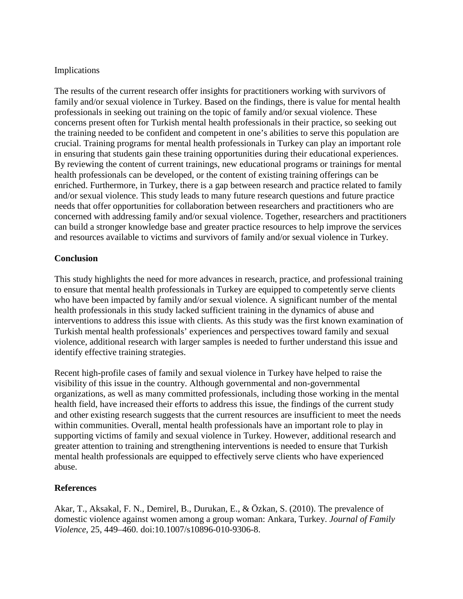## Implications

The results of the current research offer insights for practitioners working with survivors of family and/or sexual violence in Turkey. Based on the findings, there is value for mental health professionals in seeking out training on the topic of family and/or sexual violence. These concerns present often for Turkish mental health professionals in their practice, so seeking out the training needed to be confident and competent in one's abilities to serve this population are crucial. Training programs for mental health professionals in Turkey can play an important role in ensuring that students gain these training opportunities during their educational experiences. By reviewing the content of current trainings, new educational programs or trainings for mental health professionals can be developed, or the content of existing training offerings can be enriched. Furthermore, in Turkey, there is a gap between research and practice related to family and/or sexual violence. This study leads to many future research questions and future practice needs that offer opportunities for collaboration between researchers and practitioners who are concerned with addressing family and/or sexual violence. Together, researchers and practitioners can build a stronger knowledge base and greater practice resources to help improve the services and resources available to victims and survivors of family and/or sexual violence in Turkey.

## **Conclusion**

This study highlights the need for more advances in research, practice, and professional training to ensure that mental health professionals in Turkey are equipped to competently serve clients who have been impacted by family and/or sexual violence. A significant number of the mental health professionals in this study lacked sufficient training in the dynamics of abuse and interventions to address this issue with clients. As this study was the first known examination of Turkish mental health professionals' experiences and perspectives toward family and sexual violence, additional research with larger samples is needed to further understand this issue and identify effective training strategies.

Recent high-profile cases of family and sexual violence in Turkey have helped to raise the visibility of this issue in the country. Although governmental and non-governmental organizations, as well as many committed professionals, including those working in the mental health field, have increased their efforts to address this issue, the findings of the current study and other existing research suggests that the current resources are insufficient to meet the needs within communities. Overall, mental health professionals have an important role to play in supporting victims of family and sexual violence in Turkey. However, additional research and greater attention to training and strengthening interventions is needed to ensure that Turkish mental health professionals are equipped to effectively serve clients who have experienced abuse.

### **References**

Akar, T., Aksakal, F. N., Demirel, B., Durukan, E., & Özkan, S. (2010). The prevalence of domestic violence against women among a group woman: Ankara, Turkey. *Journal of Family Violence*, 25, 449–460. doi:10.1007/s10896-010-9306-8.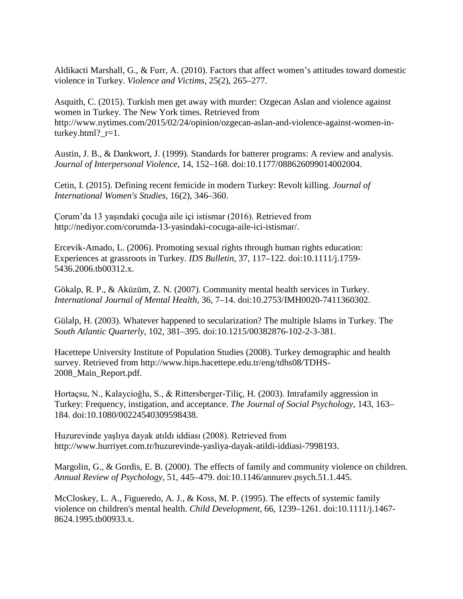Aldikacti Marshall, G., & Furr, A. (2010). Factors that affect women's attitudes toward domestic violence in Turkey. *Violence and Victims*, 25(2), 265–277.

Asquith, C. (2015). Turkish men get away with murder: Ozgecan Aslan and violence against women in Turkey. The New York times. Retrieved from http://www.nytimes.com/2015/02/24/opinion/ozgecan-aslan-and-violence-against-women-inturkey.html?\_r=1.

Austin, J. B., & Dankwort, J. (1999). Standards for batterer programs: A review and analysis. *Journal of Interpersonal Violence*, 14, 152–168. doi:10.1177/088626099014002004.

Cetin, I. (2015). Defining recent femicide in modern Turkey: Revolt killing. *Journal of International Women's Studies*, 16(2), 346–360.

Çorum'da 13 yaşındaki çocuğa aile içi istismar (2016). Retrieved from http://nediyor.com/corumda-13-yasindaki-cocuga-aile-ici-istismar/.

Ercevik-Amado, L. (2006). Promoting sexual rights through human rights education: Experiences at grassroots in Turkey. *IDS Bulletin*, 37, 117–122. doi:10.1111/j.1759- 5436.2006.tb00312.x.

Gökalp, R. P., & Aküzüm, Z. N. (2007). Community mental health services in Turkey. *International Journal of Mental Health*, 36, 7–14. doi:10.2753/IMH0020-7411360302.

Gülalp, H. (2003). Whatever happened to secularization? The multiple Islams in Turkey. The *South Atlantic Quarterly*, 102, 381–395. doi:10.1215/00382876-102-2-3-381.

Hacettepe University Institute of Population Studies (2008). Turkey demographic and health survey. Retrieved from http://www.hips.hacettepe.edu.tr/eng/tdhs08/TDHS-2008\_Main\_Report.pdf.

Hortaçsu, N., Kalaycioğlu, S., & Rittersberger-Tiliç, H. (2003). Intrafamily aggression in Turkey: Frequency, instigation, and acceptance. *The Journal of Social Psychology*, 143, 163– 184. doi:10.1080/00224540309598438.

Huzurevinde yaşlıya dayak atıldı iddiası (2008). Retrieved from http://www.hurriyet.com.tr/huzurevinde-yasliya-dayak-atildi-iddiasi-7998193.

Margolin, G., & Gordis, E. B. (2000). The effects of family and community violence on children. *Annual Review of Psychology*, 51, 445–479. doi:10.1146/annurev.psych.51.1.445.

McCloskey, L. A., Figueredo, A. J., & Koss, M. P. (1995). The effects of systemic family violence on children's mental health. *Child Development*, 66, 1239–1261. doi:10.1111/j.1467- 8624.1995.tb00933.x.